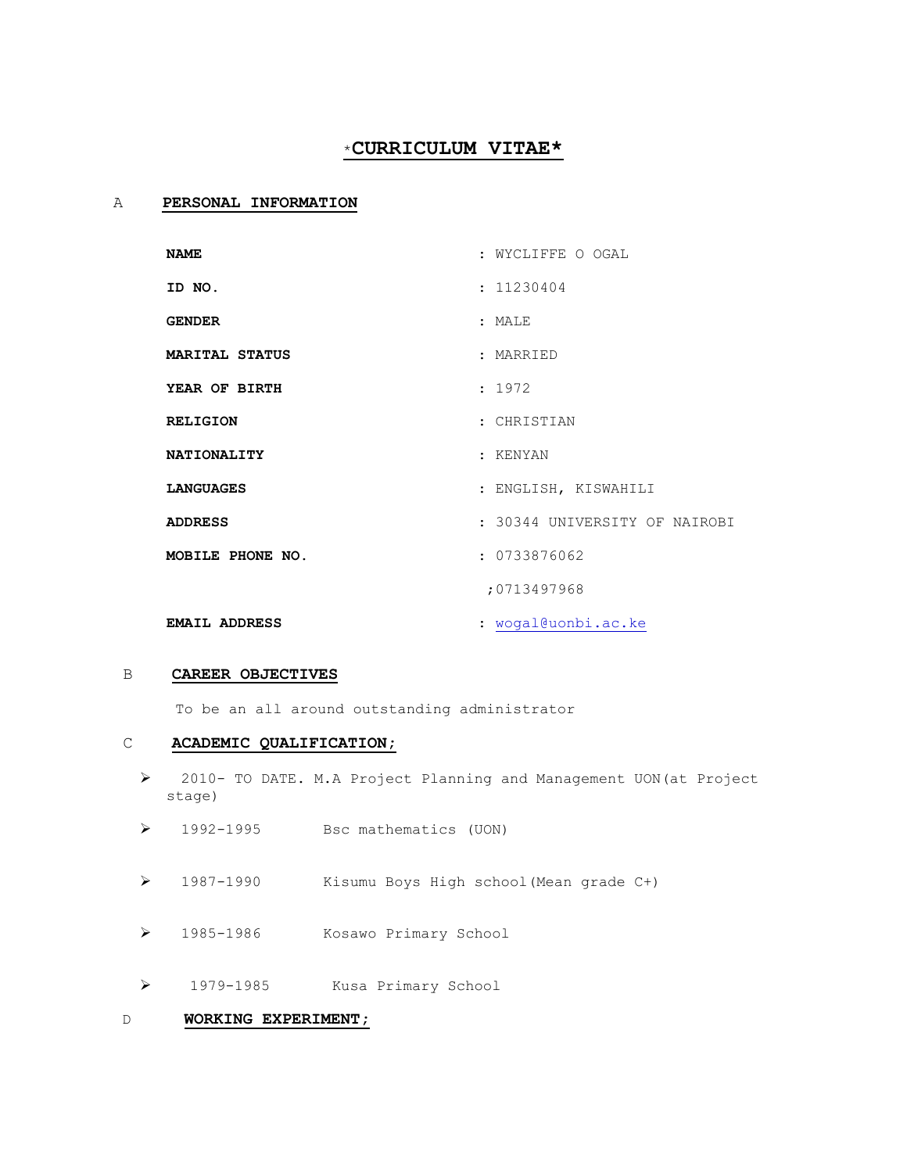# \***CURRICULUM VITAE\***

# A **PERSONAL INFORMATION**

| <b>NAME</b>           | : WYCLIFFE O OGAL             |
|-----------------------|-------------------------------|
| ID NO.                | : 11230404                    |
| <b>GENDER</b>         | : MALE                        |
| <b>MARITAL STATUS</b> | : MARRIED                     |
| YEAR OF BIRTH         | : 1972                        |
| <b>RELIGION</b>       | : CHRISTIAN                   |
| <b>NATIONALITY</b>    | : KENYAN                      |
| <b>LANGUAGES</b>      | : ENGLISH, KISWAHILI          |
| <b>ADDRESS</b>        | : 30344 UNIVERSITY OF NAIROBI |
| MOBILE PHONE NO.      | : 0733876062                  |
|                       | :0713497968                   |
| <b>EMAIL ADDRESS</b>  | : wogal@uonbi.ac.ke           |

### B **CAREER OBJECTIVES**

To be an all around outstanding administrator

### C **ACADEMIC QUALIFICATION;**

- 2010- TO DATE. M.A Project Planning and Management UON(at Project stage)
- 1992-1995 Bsc mathematics (UON)
- 1987-1990 Kisumu Boys High school(Mean grade C+)
- 1985-1986 Kosawo Primary School
- 1979-1985 Kusa Primary School

# D **WORKING EXPERIMENT;**